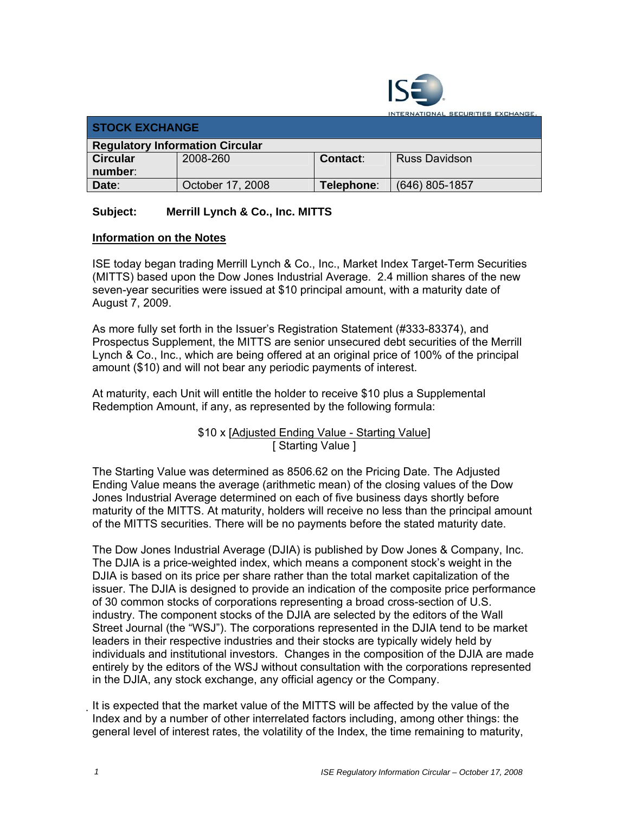

**TERNATIONAL SECURITIES EXCHANGE.** 

| <b>STOCK EXCHANGE</b>                  |                  |            |                      |  |
|----------------------------------------|------------------|------------|----------------------|--|
| <b>Regulatory Information Circular</b> |                  |            |                      |  |
| <b>Circular</b>                        | 2008-260         | Contact:   | <b>Russ Davidson</b> |  |
| number:                                |                  |            |                      |  |
| Date:                                  | October 17, 2008 | Telephone: | $(646)$ 805-1857     |  |

## **Subject: Merrill Lynch & Co., Inc. MITTS**

## **Information on the Notes**

ISE today began trading Merrill Lynch & Co., Inc., Market Index Target-Term Securities (MITTS) based upon the Dow Jones Industrial Average.2.4 million shares of the new seven-year securities were issued at \$10 principal amount, with a maturity date of August 7, 2009.

As more fully set forth in the Issuer's Registration Statement (#333-83374), and Prospectus Supplement, the MITTS are senior unsecured debt securities of the Merrill Lynch & Co., Inc., which are being offered at an original price of 100% of the principal amount (\$10) and will not bear any periodic payments of interest.

At maturity, each Unit will entitle the holder to receive \$10 plus a Supplemental Redemption Amount, if any, as represented by the following formula:

> \$10 x [Adjusted Ending Value - Starting Value] [ Starting Value ]

The Starting Value was determined as 8506.62 on the Pricing Date. The Adjusted Ending Value means the average (arithmetic mean) of the closing values of the Dow Jones Industrial Average determined on each of five business days shortly before maturity of the MITTS. At maturity, holders will receive no less than the principal amount of the MITTS securities. There will be no payments before the stated maturity date.

The Dow Jones Industrial Average (DJIA) is published by Dow Jones & Company, Inc. The DJIA is a price-weighted index, which means a component stock's weight in the DJIA is based on its price per share rather than the total market capitalization of the issuer. The DJIA is designed to provide an indication of the composite price performance of 30 common stocks of corporations representing a broad cross-section of U.S. industry. The component stocks of the DJIA are selected by the editors of the Wall Street Journal (the "WSJ"). The corporations represented in the DJIA tend to be market leaders in their respective industries and their stocks are typically widely held by individuals and institutional investors. Changes in the composition of the DJIA are made entirely by the editors of the WSJ without consultation with the corporations represented in the DJIA, any stock exchange, any official agency or the Company.

It is expected that the market value of the MITTS will be affected by the value of the Index and by a number of other interrelated factors including, among other things: the general level of interest rates, the volatility of the Index, the time remaining to maturity,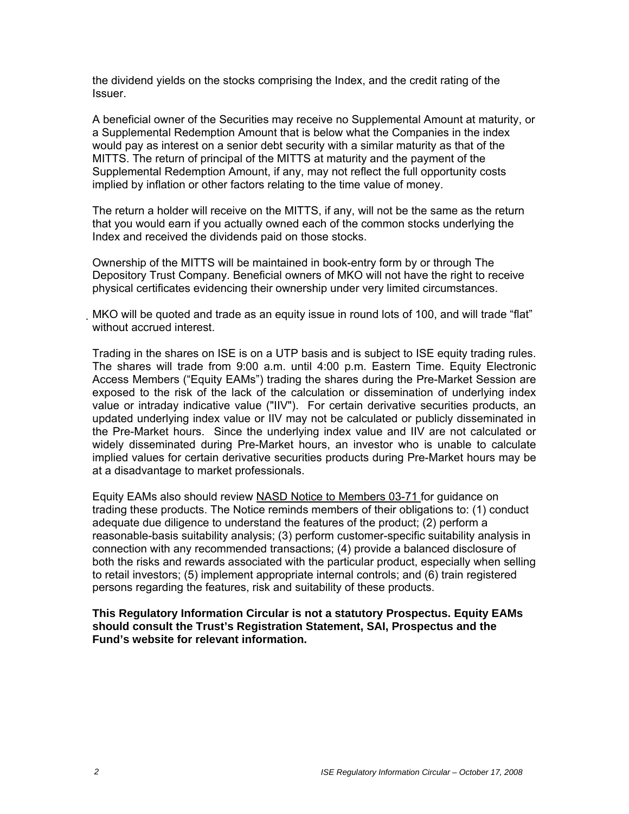the dividend yields on the stocks comprising the Index, and the credit rating of the Issuer.

A beneficial owner of the Securities may receive no Supplemental Amount at maturity, or a Supplemental Redemption Amount that is below what the Companies in the index would pay as interest on a senior debt security with a similar maturity as that of the MITTS. The return of principal of the MITTS at maturity and the payment of the Supplemental Redemption Amount, if any, may not reflect the full opportunity costs implied by inflation or other factors relating to the time value of money.

The return a holder will receive on the MITTS, if any, will not be the same as the return that you would earn if you actually owned each of the common stocks underlying the Index and received the dividends paid on those stocks.

Ownership of the MITTS will be maintained in book-entry form by or through The Depository Trust Company. Beneficial owners of MKO will not have the right to receive physical certificates evidencing their ownership under very limited circumstances.

MKO will be quoted and trade as an equity issue in round lots of 100, and will trade "flat" without accrued interest.

Trading in the shares on ISE is on a UTP basis and is subject to ISE equity trading rules. The shares will trade from 9:00 a.m. until 4:00 p.m. Eastern Time. Equity Electronic Access Members ("Equity EAMs") trading the shares during the Pre-Market Session are exposed to the risk of the lack of the calculation or dissemination of underlying index value or intraday indicative value ("IIV"). For certain derivative securities products, an updated underlying index value or IIV may not be calculated or publicly disseminated in the Pre-Market hours. Since the underlying index value and IIV are not calculated or widely disseminated during Pre-Market hours, an investor who is unable to calculate implied values for certain derivative securities products during Pre-Market hours may be at a disadvantage to market professionals.

Equity EAMs also should review NASD Notice to Members 03-71 for guidance on trading these products. The Notice reminds members of their obligations to: (1) conduct adequate due diligence to understand the features of the product; (2) perform a reasonable-basis suitability analysis; (3) perform customer-specific suitability analysis in connection with any recommended transactions; (4) provide a balanced disclosure of both the risks and rewards associated with the particular product, especially when selling to retail investors; (5) implement appropriate internal controls; and (6) train registered persons regarding the features, risk and suitability of these products.

**This Regulatory Information Circular is not a statutory Prospectus. Equity EAMs should consult the Trust's Registration Statement, SAI, Prospectus and the Fund's website for relevant information.**